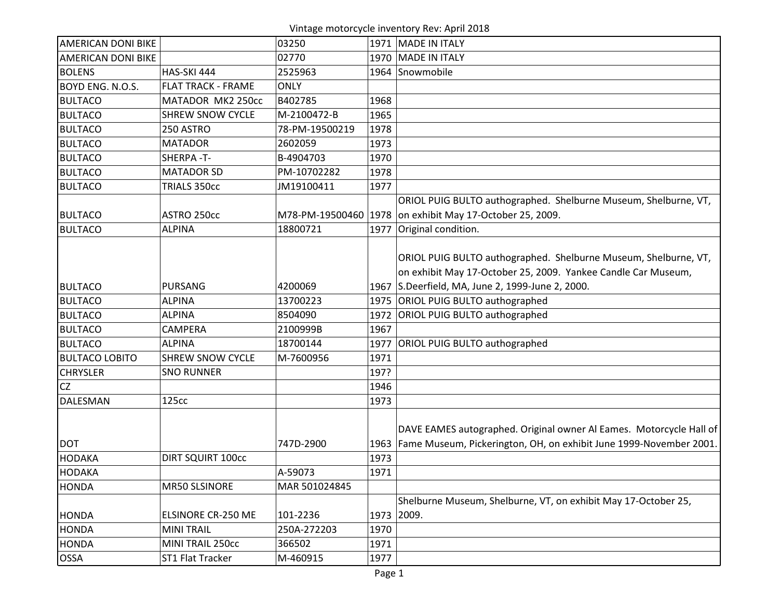Vintage motorcycle inventory Rev: April 2018

| <b>AMERICAN DONI BIKE</b> |                           | 03250          |      | 1971   MADE IN ITALY                                                    |
|---------------------------|---------------------------|----------------|------|-------------------------------------------------------------------------|
| <b>AMERICAN DONI BIKE</b> |                           | 02770          |      | 1970   MADE IN ITALY                                                    |
| <b>BOLENS</b>             | HAS-SKI 444               | 2525963        |      | 1964 Snowmobile                                                         |
| BOYD ENG. N.O.S.          | <b>FLAT TRACK - FRAME</b> | <b>ONLY</b>    |      |                                                                         |
| <b>BULTACO</b>            | MATADOR MK2 250cc         | B402785        | 1968 |                                                                         |
| <b>BULTACO</b>            | <b>SHREW SNOW CYCLE</b>   | M-2100472-B    | 1965 |                                                                         |
| <b>BULTACO</b>            | 250 ASTRO                 | 78-PM-19500219 | 1978 |                                                                         |
| <b>BULTACO</b>            | <b>MATADOR</b>            | 2602059        | 1973 |                                                                         |
| <b>BULTACO</b>            | SHERPA-T-                 | B-4904703      | 1970 |                                                                         |
| <b>BULTACO</b>            | <b>MATADOR SD</b>         | PM-10702282    | 1978 |                                                                         |
| <b>BULTACO</b>            | TRIALS 350cc              | JM19100411     | 1977 |                                                                         |
|                           |                           |                |      | ORIOL PUIG BULTO authographed. Shelburne Museum, Shelburne, VT,         |
| <b>BULTACO</b>            | ASTRO 250cc               |                |      | M78-PM-19500460 1978 on exhibit May 17-October 25, 2009.                |
| <b>BULTACO</b>            | <b>ALPINA</b>             | 18800721       |      | 1977 Original condition.                                                |
|                           |                           |                |      |                                                                         |
|                           |                           |                |      | ORIOL PUIG BULTO authographed. Shelburne Museum, Shelburne, VT,         |
|                           |                           |                |      | on exhibit May 17-October 25, 2009. Yankee Candle Car Museum,           |
| <b>BULTACO</b>            | <b>PURSANG</b>            | 4200069        |      | 1967 S.Deerfield, MA, June 2, 1999-June 2, 2000.                        |
| <b>BULTACO</b>            | <b>ALPINA</b>             | 13700223       |      | 1975 ORIOL PUIG BULTO authographed                                      |
| <b>BULTACO</b>            | <b>ALPINA</b>             | 8504090        |      | 1972 ORIOL PUIG BULTO authographed                                      |
| <b>BULTACO</b>            | CAMPERA                   | 2100999B       | 1967 |                                                                         |
| <b>BULTACO</b>            | <b>ALPINA</b>             | 18700144       | 1977 | <b>ORIOL PUIG BULTO authographed</b>                                    |
| <b>BULTACO LOBITO</b>     | <b>SHREW SNOW CYCLE</b>   | M-7600956      | 1971 |                                                                         |
| <b>CHRYSLER</b>           | <b>SNO RUNNER</b>         |                | 197? |                                                                         |
| <b>CZ</b>                 |                           |                | 1946 |                                                                         |
| <b>DALESMAN</b>           | 125cc                     |                | 1973 |                                                                         |
|                           |                           |                |      |                                                                         |
|                           |                           |                |      | DAVE EAMES autographed. Original owner Al Eames. Motorcycle Hall of     |
| <b>DOT</b>                |                           | 747D-2900      |      | 1963 Fame Museum, Pickerington, OH, on exhibit June 1999-November 2001. |
| <b>HODAKA</b>             | <b>DIRT SQUIRT 100cc</b>  |                | 1973 |                                                                         |
| <b>HODAKA</b>             |                           | A-59073        | 1971 |                                                                         |
| <b>HONDA</b>              | MR50 SLSINORE             | MAR 501024845  |      |                                                                         |
|                           |                           |                |      | Shelburne Museum, Shelburne, VT, on exhibit May 17-October 25,          |
| <b>HONDA</b>              | ELSINORE CR-250 ME        | 101-2236       | 1973 | 2009.                                                                   |
| <b>HONDA</b>              | <b>MINI TRAIL</b>         | 250A-272203    | 1970 |                                                                         |
| <b>HONDA</b>              | MINI TRAIL 250cc          | 366502         | 1971 |                                                                         |
| <b>OSSA</b>               | ST1 Flat Tracker          | M-460915       | 1977 |                                                                         |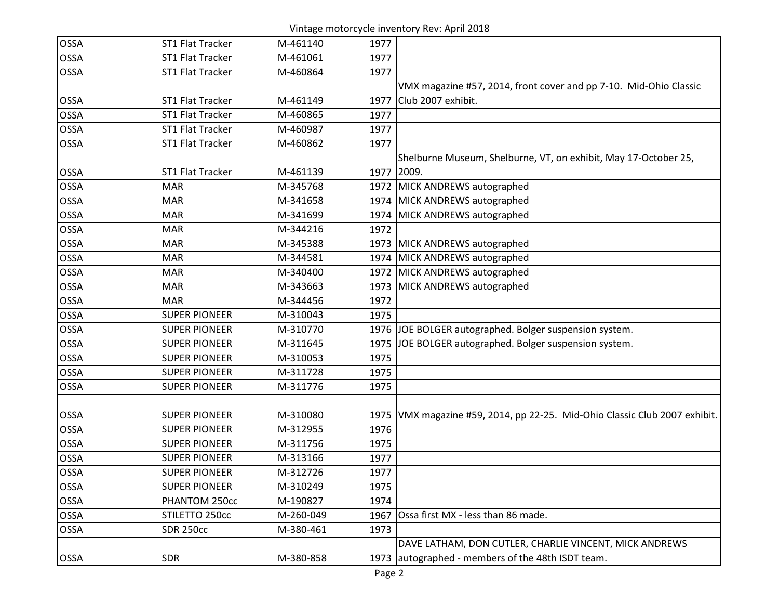Vintage motorcycle inventory Rev: April 2018

| <b>OSSA</b> | ST1 Flat Tracker        | M-461140  | 1977 |                                                                            |
|-------------|-------------------------|-----------|------|----------------------------------------------------------------------------|
| <b>OSSA</b> | ST1 Flat Tracker        | M-461061  | 1977 |                                                                            |
| <b>OSSA</b> | ST1 Flat Tracker        | M-460864  | 1977 |                                                                            |
|             |                         |           |      | VMX magazine #57, 2014, front cover and pp 7-10. Mid-Ohio Classic          |
| <b>OSSA</b> | <b>ST1 Flat Tracker</b> | M-461149  | 1977 | Club 2007 exhibit.                                                         |
| <b>OSSA</b> | ST1 Flat Tracker        | M-460865  | 1977 |                                                                            |
| <b>OSSA</b> | ST1 Flat Tracker        | M-460987  | 1977 |                                                                            |
| <b>OSSA</b> | ST1 Flat Tracker        | M-460862  | 1977 |                                                                            |
|             |                         |           |      | Shelburne Museum, Shelburne, VT, on exhibit, May 17-October 25,            |
| <b>OSSA</b> | ST1 Flat Tracker        | M-461139  | 1977 | 2009.                                                                      |
| <b>OSSA</b> | <b>MAR</b>              | M-345768  |      | 1972 MICK ANDREWS autographed                                              |
| <b>OSSA</b> | <b>MAR</b>              | M-341658  |      | 1974 MICK ANDREWS autographed                                              |
| <b>OSSA</b> | <b>MAR</b>              | M-341699  |      | 1974 MICK ANDREWS autographed                                              |
| <b>OSSA</b> | <b>MAR</b>              | M-344216  | 1972 |                                                                            |
| <b>OSSA</b> | <b>MAR</b>              | M-345388  |      | 1973 MICK ANDREWS autographed                                              |
| <b>OSSA</b> | <b>MAR</b>              | M-344581  |      | 1974 MICK ANDREWS autographed                                              |
| OSSA        | <b>MAR</b>              | M-340400  |      | 1972 MICK ANDREWS autographed                                              |
| <b>OSSA</b> | <b>MAR</b>              | M-343663  |      | 1973 MICK ANDREWS autographed                                              |
| <b>OSSA</b> | <b>MAR</b>              | M-344456  | 1972 |                                                                            |
| <b>OSSA</b> | <b>SUPER PIONEER</b>    | M-310043  | 1975 |                                                                            |
| <b>OSSA</b> | <b>SUPER PIONEER</b>    | M-310770  | 1976 | JOE BOLGER autographed. Bolger suspension system.                          |
| <b>OSSA</b> | <b>SUPER PIONEER</b>    | M-311645  | 1975 | JOE BOLGER autographed. Bolger suspension system.                          |
| <b>OSSA</b> | <b>SUPER PIONEER</b>    | M-310053  | 1975 |                                                                            |
| <b>OSSA</b> | <b>SUPER PIONEER</b>    | M-311728  | 1975 |                                                                            |
| <b>OSSA</b> | <b>SUPER PIONEER</b>    | M-311776  | 1975 |                                                                            |
|             |                         |           |      |                                                                            |
| <b>OSSA</b> | <b>SUPER PIONEER</b>    | M-310080  |      | 1975 VMX magazine #59, 2014, pp 22-25. Mid-Ohio Classic Club 2007 exhibit. |
| <b>OSSA</b> | <b>SUPER PIONEER</b>    | M-312955  | 1976 |                                                                            |
| OSSA        | <b>SUPER PIONEER</b>    | M-311756  | 1975 |                                                                            |
| <b>OSSA</b> | <b>SUPER PIONEER</b>    | M-313166  | 1977 |                                                                            |
| OSSA        | <b>SUPER PIONEER</b>    | M-312726  | 1977 |                                                                            |
| <b>OSSA</b> | <b>SUPER PIONEER</b>    | M-310249  | 1975 |                                                                            |
| <b>OSSA</b> | PHANTOM 250cc           | M-190827  | 1974 |                                                                            |
| <b>OSSA</b> | STILETTO 250cc          | M-260-049 | 1967 | Ossa first MX - less than 86 made.                                         |
| <b>OSSA</b> | <b>SDR 250cc</b>        | M-380-461 | 1973 |                                                                            |
|             |                         |           |      | DAVE LATHAM, DON CUTLER, CHARLIE VINCENT, MICK ANDREWS                     |
| <b>OSSA</b> | <b>SDR</b>              | M-380-858 |      | 1973 autographed - members of the 48th ISDT team.                          |
|             |                         |           |      |                                                                            |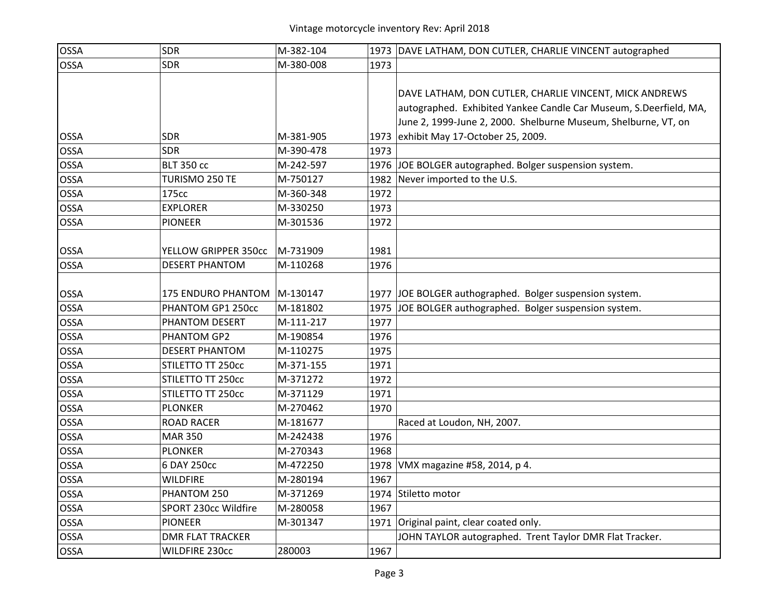| <b>OSSA</b> | <b>SDR</b>                    | M-382-104 |      | 1973 DAVE LATHAM, DON CUTLER, CHARLIE VINCENT autographed         |
|-------------|-------------------------------|-----------|------|-------------------------------------------------------------------|
| <b>OSSA</b> | <b>SDR</b>                    | M-380-008 | 1973 |                                                                   |
|             |                               |           |      |                                                                   |
|             |                               |           |      | DAVE LATHAM, DON CUTLER, CHARLIE VINCENT, MICK ANDREWS            |
|             |                               |           |      | autographed. Exhibited Yankee Candle Car Museum, S.Deerfield, MA, |
|             |                               |           |      | June 2, 1999-June 2, 2000. Shelburne Museum, Shelburne, VT, on    |
| <b>OSSA</b> | SDR                           | M-381-905 |      | 1973 exhibit May 17-October 25, 2009.                             |
| <b>OSSA</b> | <b>SDR</b>                    | M-390-478 | 1973 |                                                                   |
| <b>OSSA</b> | <b>BLT 350 cc</b>             | M-242-597 |      | 1976 JOE BOLGER autographed. Bolger suspension system.            |
| <b>OSSA</b> | TURISMO 250 TE                | M-750127  |      | 1982 Never imported to the U.S.                                   |
| <b>OSSA</b> | 175cc                         | M-360-348 | 1972 |                                                                   |
| <b>OSSA</b> | <b>EXPLORER</b>               | M-330250  | 1973 |                                                                   |
| <b>OSSA</b> | <b>PIONEER</b>                | M-301536  | 1972 |                                                                   |
|             |                               |           |      |                                                                   |
| <b>OSSA</b> | YELLOW GRIPPER 350cc          | M-731909  | 1981 |                                                                   |
| <b>OSSA</b> | <b>DESERT PHANTOM</b>         | M-110268  | 1976 |                                                                   |
|             |                               |           |      |                                                                   |
| <b>OSSA</b> | 175 ENDURO PHANTOM   M-130147 |           |      | 1977 JOE BOLGER authographed. Bolger suspension system.           |
| OSSA        | PHANTOM GP1 250cc             | M-181802  |      | 1975 JOE BOLGER authographed. Bolger suspension system.           |
| <b>OSSA</b> | PHANTOM DESERT                | M-111-217 | 1977 |                                                                   |
| <b>OSSA</b> | PHANTOM GP2                   | M-190854  | 1976 |                                                                   |
| <b>OSSA</b> | <b>DESERT PHANTOM</b>         | M-110275  | 1975 |                                                                   |
| <b>OSSA</b> | STILETTO TT 250cc             | M-371-155 | 1971 |                                                                   |
| <b>OSSA</b> | STILETTO TT 250cc             | M-371272  | 1972 |                                                                   |
| <b>OSSA</b> | STILETTO TT 250cc             | M-371129  | 1971 |                                                                   |
| OSSA        | <b>PLONKER</b>                | M-270462  | 1970 |                                                                   |
| <b>OSSA</b> | <b>ROAD RACER</b>             | M-181677  |      | Raced at Loudon, NH, 2007.                                        |
| OSSA        | <b>MAR 350</b>                | M-242438  | 1976 |                                                                   |
| <b>OSSA</b> | <b>PLONKER</b>                | M-270343  | 1968 |                                                                   |
| <b>OSSA</b> | 6 DAY 250cc                   | M-472250  |      | 1978   VMX magazine #58, 2014, p 4.                               |
| <b>OSSA</b> | WILDFIRE                      | M-280194  | 1967 |                                                                   |
| <b>OSSA</b> | PHANTOM 250                   | M-371269  |      | 1974 Stiletto motor                                               |
| <b>OSSA</b> | SPORT 230cc Wildfire          | M-280058  | 1967 |                                                                   |
| <b>OSSA</b> | <b>PIONEER</b>                | M-301347  |      | 1971 Original paint, clear coated only.                           |
| <b>OSSA</b> | <b>DMR FLAT TRACKER</b>       |           |      | JOHN TAYLOR autographed. Trent Taylor DMR Flat Tracker.           |
| <b>OSSA</b> | <b>WILDFIRE 230cc</b>         | 280003    | 1967 |                                                                   |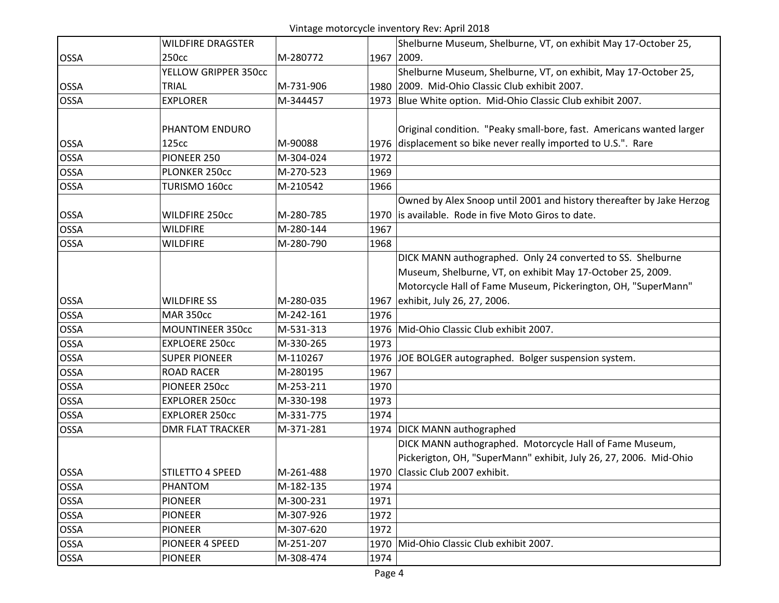## Vintage motorcycle inventory Rev: April 2018

|             | <b>WILDFIRE DRAGSTER</b> |           | Shelburne Museum, Shelburne, VT, on exhibit May 17-October 25,       |
|-------------|--------------------------|-----------|----------------------------------------------------------------------|
| <b>OSSA</b> | 250 <sub>cc</sub>        | M-280772  | 1967 2009.                                                           |
|             | YELLOW GRIPPER 350cc     |           | Shelburne Museum, Shelburne, VT, on exhibit, May 17-October 25,      |
| <b>OSSA</b> | <b>TRIAL</b>             | M-731-906 | 1980 2009. Mid-Ohio Classic Club exhibit 2007.                       |
| <b>OSSA</b> | <b>EXPLORER</b>          | M-344457  | 1973 Blue White option. Mid-Ohio Classic Club exhibit 2007.          |
|             |                          |           |                                                                      |
|             | PHANTOM ENDURO           |           | Original condition. "Peaky small-bore, fast. Americans wanted larger |
| <b>OSSA</b> | 125cc                    | M-90088   | displacement so bike never really imported to U.S.". Rare<br>1976    |
| <b>OSSA</b> | PIONEER 250              | M-304-024 | 1972                                                                 |
| <b>OSSA</b> | PLONKER 250cc            | M-270-523 | 1969                                                                 |
| <b>OSSA</b> | TURISMO 160cc            | M-210542  | 1966                                                                 |
|             |                          |           | Owned by Alex Snoop until 2001 and history thereafter by Jake Herzog |
| <b>OSSA</b> | <b>WILDFIRE 250cc</b>    | M-280-785 | 1970 is available. Rode in five Moto Giros to date.                  |
| <b>OSSA</b> | <b>WILDFIRE</b>          | M-280-144 | 1967                                                                 |
| <b>OSSA</b> | <b>WILDFIRE</b>          | M-280-790 | 1968                                                                 |
|             |                          |           | DICK MANN authographed. Only 24 converted to SS. Shelburne           |
|             |                          |           | Museum, Shelburne, VT, on exhibit May 17-October 25, 2009.           |
|             |                          |           | Motorcycle Hall of Fame Museum, Pickerington, OH, "SuperMann"        |
| <b>OSSA</b> | <b>WILDFIRE SS</b>       | M-280-035 | exhibit, July 26, 27, 2006.<br>1967                                  |
| <b>OSSA</b> | <b>MAR 350cc</b>         | M-242-161 | 1976                                                                 |
| <b>OSSA</b> | <b>MOUNTINEER 350cc</b>  | M-531-313 | Mid-Ohio Classic Club exhibit 2007.<br>1976                          |
| <b>OSSA</b> | <b>EXPLOERE 250cc</b>    | M-330-265 | 1973                                                                 |
| <b>OSSA</b> | <b>SUPER PIONEER</b>     | M-110267  | JOE BOLGER autographed. Bolger suspension system.<br>1976            |
| <b>OSSA</b> | <b>ROAD RACER</b>        | M-280195  | 1967                                                                 |
| <b>OSSA</b> | PIONEER 250cc            | M-253-211 | 1970                                                                 |
| <b>OSSA</b> | <b>EXPLORER 250cc</b>    | M-330-198 | 1973                                                                 |
| <b>OSSA</b> | <b>EXPLORER 250cc</b>    | M-331-775 | 1974                                                                 |
| <b>OSSA</b> | <b>DMR FLAT TRACKER</b>  | M-371-281 | 1974 DICK MANN authographed                                          |
|             |                          |           | DICK MANN authographed. Motorcycle Hall of Fame Museum,              |
|             |                          |           | Pickerigton, OH, "SuperMann" exhibit, July 26, 27, 2006. Mid-Ohio    |
| <b>OSSA</b> | STILETTO 4 SPEED         | M-261-488 | 1970 Classic Club 2007 exhibit.                                      |
| <b>OSSA</b> | PHANTOM                  | M-182-135 | 1974                                                                 |
| <b>OSSA</b> | <b>PIONEER</b>           | M-300-231 | 1971                                                                 |
| <b>OSSA</b> | <b>PIONEER</b>           | M-307-926 | 1972                                                                 |
| <b>OSSA</b> | <b>PIONEER</b>           | M-307-620 | 1972                                                                 |
| <b>OSSA</b> | PIONEER 4 SPEED          | M-251-207 | 1970 Mid-Ohio Classic Club exhibit 2007.                             |
| <b>OSSA</b> | <b>PIONEER</b>           | M-308-474 | 1974                                                                 |